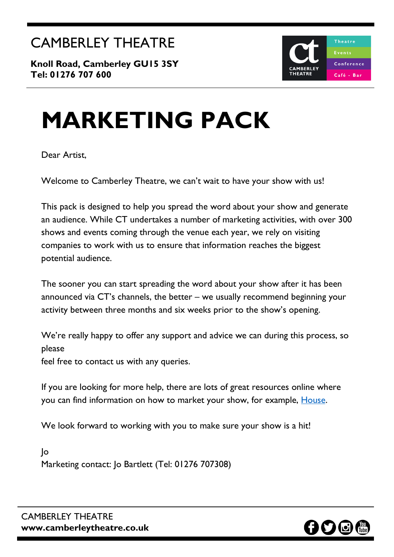**Knoll Road, Camberley GU15 3SY Tel: 01276 707 600**



# **MARKETING PACK**

Dear Artist,

Welcome to Camberley Theatre, we can't wait to have your show with us!

This pack is designed to help you spread the word about your show and generate an audience. While CT undertakes a number of marketing activities, with over 300 shows and events coming through the venue each year, we rely on visiting companies to work with us to ensure that information reaches the biggest potential audience.

The sooner you can start spreading the word about your show after it has been announced via CT's channels, the better – we usually recommend beginning your activity between three months and six weeks prior to the show's opening.

We're really happy to offer any support and advice we can during this process, so please

feel free to contact us with any queries.

If you are looking for more help, there are lots of great resources online where you can find information on how to market your show, for example, **House**.

We look forward to working with you to make sure your show is a hit!

Jo Marketing contact: Jo Bartlett (Tel: 01276 707308)

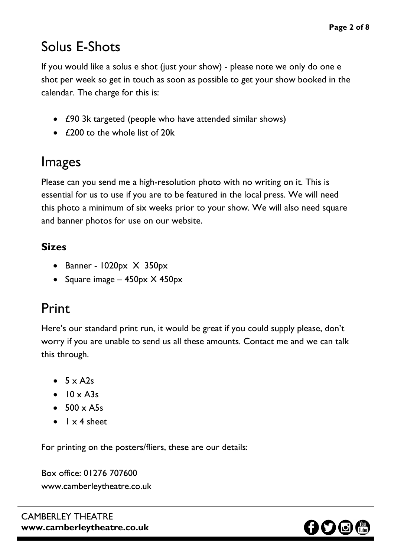## Solus E-Shots

If you would like a solus e shot (just your show) - please note we only do one e shot per week so get in touch as soon as possible to get your show booked in the calendar. The charge for this is:

- £90 3k targeted (people who have attended similar shows)
- £200 to the whole list of 20k

# Images

Please can you send me a high-resolution photo with no writing on it. This is essential for us to use if you are to be featured in the local press. We will need this photo a minimum of six weeks prior to your show. We will also need square and banner photos for use on our website.

## **Sizes**

- Banner  $1020px \times 350px$
- Square image  $-$  450px  $\times$  450px

# Print

Here's our standard print run, it would be great if you could supply please, don't worry if you are unable to send us all these amounts. Contact me and we can talk this through.

- $5 \times A2s$
- $\bullet$  10 x A3s
- $\bullet$  500  $\times$  A5s
- $\bullet$   $1 \times 4$  sheet

For printing on the posters/fliers, these are our details:

Box office: 01276 707600 www.camberleytheatre.co.uk

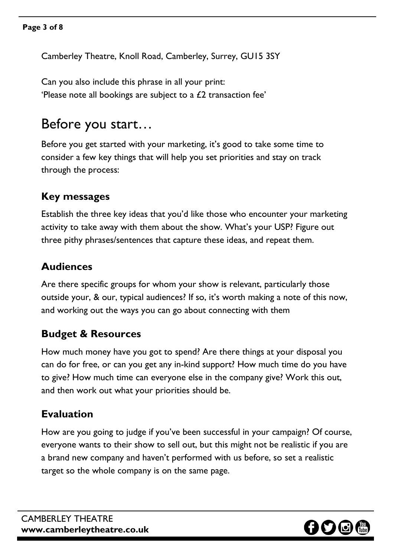Camberley Theatre, Knoll Road, Camberley, Surrey, GU15 3SY

Can you also include this phrase in all your print: 'Please note all bookings are subject to a  $\mathcal{L}2$  transaction fee'

## Before you start…

Before you get started with your marketing, it's good to take some time to consider a few key things that will help you set priorities and stay on track through the process:

#### **Key messages**

Establish the three key ideas that you'd like those who encounter your marketing activity to take away with them about the show. What's your USP? Figure out three pithy phrases/sentences that capture these ideas, and repeat them.

#### **Audiences**

Are there specific groups for whom your show is relevant, particularly those outside your, & our, typical audiences? If so, it's worth making a note of this now, and working out the ways you can go about connecting with them

#### **Budget & Resources**

How much money have you got to spend? Are there things at your disposal you can do for free, or can you get any in-kind support? How much time do you have to give? How much time can everyone else in the company give? Work this out, and then work out what your priorities should be.

#### **Evaluation**

How are you going to judge if you've been successful in your campaign? Of course, everyone wants to their show to sell out, but this might not be realistic if you are a brand new company and haven't performed with us before, so set a realistic target so the whole company is on the same page.

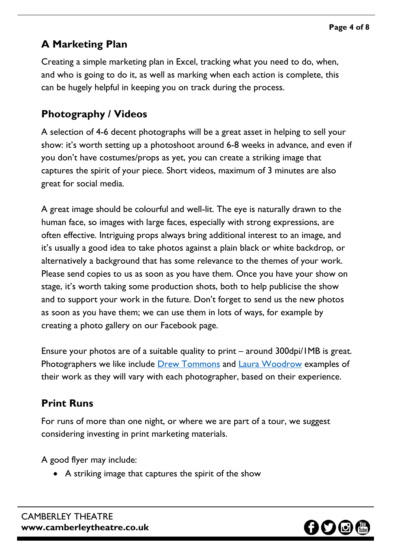## **A Marketing Plan**

Creating a simple marketing plan in Excel, tracking what you need to do, when, and who is going to do it, as well as marking when each action is complete, this can be hugely helpful in keeping you on track during the process.

## **Photography / Videos**

A selection of 4-6 decent photographs will be a great asset in helping to sell your show: it's worth setting up a photoshoot around 6-8 weeks in advance, and even if you don't have costumes/props as yet, you can create a striking image that captures the spirit of your piece. Short videos, maximum of 3 minutes are also great for social media.

A great image should be colourful and well-lit. The eye is naturally drawn to the human face, so images with large faces, especially with strong expressions, are often effective. Intriguing props always bring additional interest to an image, and it's usually a good idea to take photos against a plain black or white backdrop, or alternatively a background that has some relevance to the themes of your work. Please send copies to us as soon as you have them. Once you have your show on stage, it's worth taking some production shots, both to help publicise the show and to support your work in the future. Don't forget to send us the new photos as soon as you have them; we can use them in lots of ways, for example by creating a photo gallery on our Facebook page.

Ensure your photos are of a suitable quality to print – around 300dpi/1MB is great. Photographers we like include **Drew [Tommons](mailto:drew@drewtommonsphotographer.co.uk)** and **Laura [Woodrow](mailto:lauraellen_woodrow@hotmail.co.uk)** examples of their work as they will vary with each photographer, based on their experience.

## **Print Runs**

For runs of more than one night, or where we are part of a tour, we suggest considering investing in print marketing materials.

A good flyer may include:

• A striking image that captures the spirit of the show

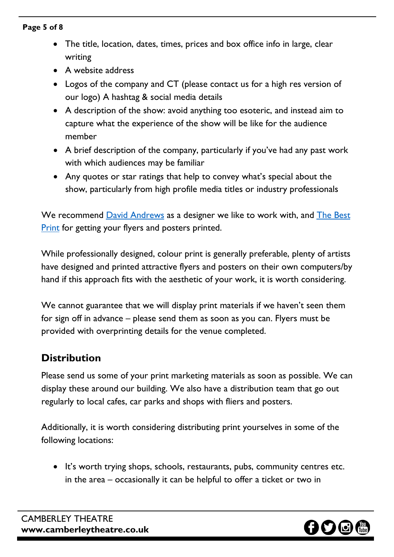#### **Page 5 of 8**

- The title, location, dates, times, prices and box office info in large, clear writing
- A website address
- Logos of the company and CT (please contact us for a high res version of our logo) A hashtag & social media details
- A description of the show: avoid anything too esoteric, and instead aim to capture what the experience of the show will be like for the audience member
- A brief description of the company, particularly if you've had any past work with which audiences may be familiar
- Any quotes or star ratings that help to convey what's special about the show, particularly from high profile media titles or industry professionals

We recommend **David [Andrews](mailto:dave@dagc.co.uk)** as a designer we like to work with, and **The [Best](mailto:agata@thebestprint.co.uk) [Print](mailto:agata@thebestprint.co.uk) [for](mailto:agata@thebestprint.co.uk) getting your flyers and posters printed.** 

While professionally designed, colour print is generally preferable, plenty of artists have designed and printed attractive flyers and posters on their own computers/by hand if this approach fits with the aesthetic of your work, it is worth considering.

We cannot guarantee that we will display print materials if we haven't seen them for sign off in advance – please send them as soon as you can. Flyers must be provided with overprinting details for the venue completed.

## **Distribution**

Please send us some of your print marketing materials as soon as possible. We can display these around our building. We also have a distribution team that go out regularly to local cafes, car parks and shops with fliers and posters.

Additionally, it is worth considering distributing print yourselves in some of the following locations:

• It's worth trying shops, schools, restaurants, pubs, community centres etc. in the area – occasionally it can be helpful to offer a ticket or two in

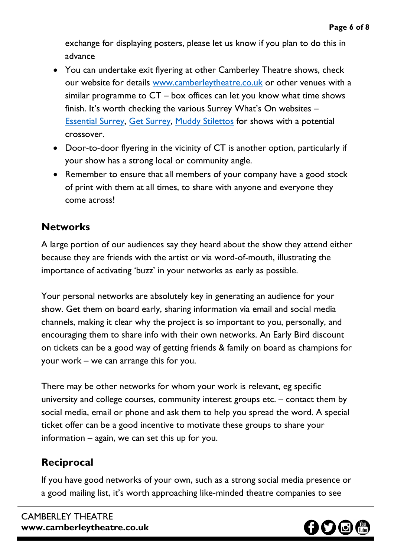exchange for displaying posters, please let us know if you plan to do this in advance

- You can undertake exit flyering at other Camberley Theatre shows, check our website for details [www.camberleytheatre.co.uk](http://www.camberleytheatre.co.uk/) or other venues with a similar programme to CT – box offices can let you know what time shows finish. It's worth checking the various Surrey What's On websites – [Essential](https://www.essentialsurrey.co.uk/) Surrey, Get [Surrey,](http://www.getsurrey.co.uk/) Muddy [Stilettos](https://surrey.muddystilettos.co.uk/) for shows with a potential crossover.
- Door-to-door flyering in the vicinity of CT is another option, particularly if your show has a strong local or community angle.
- Remember to ensure that all members of your company have a good stock of print with them at all times, to share with anyone and everyone they come across!

## **Networks**

A large portion of our audiences say they heard about the show they attend either because they are friends with the artist or via word-of-mouth, illustrating the importance of activating 'buzz' in your networks as early as possible.

Your personal networks are absolutely key in generating an audience for your show. Get them on board early, sharing information via email and social media channels, making it clear why the project is so important to you, personally, and encouraging them to share info with their own networks. An Early Bird discount on tickets can be a good way of getting friends & family on board as champions for your work – we can arrange this for you.

There may be other networks for whom your work is relevant, eg specific university and college courses, community interest groups etc. – contact them by social media, email or phone and ask them to help you spread the word. A special ticket offer can be a good incentive to motivate these groups to share your information – again, we can set this up for you.

## **Reciprocal**

If you have good networks of your own, such as a strong social media presence or a good mailing list, it's worth approaching like-minded theatre companies to see

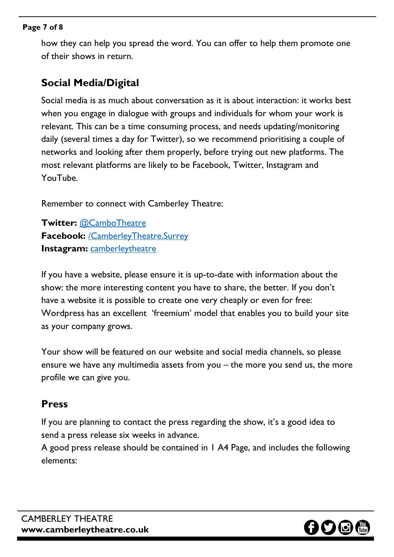#### **Page 7 of 8**

how they can help you spread the word. You can offer to help them promote one of their shows in return.

#### **Social Media/Digital**

Social media is as much about conversation as it is about interaction: it works best when you engage in dialogue with groups and individuals for whom your work is relevant. This can be a time consuming process, and needs updating/monitoring daily (several times a day for Twitter), so we recommend prioritising a couple of networks and looking after them properly, before trying out new platforms. The most relevant platforms are likely to be Facebook, Twitter, Instagram and YouTube.

Remember to connect with Camberley Theatre:

**Twitter:** [@CamboTheatre](https://twitter.com/CamboTheatre) **Facebook:** [/CamberleyTheatre.Surrey](https://www.facebook.com/CamberleyTheatre.Surrey/) **Instagram:** [camberleytheatre](https://www.instagram.com/camberleytheatre/?hl=en)

If you have a website, please ensure it is up-to-date with information about the show: the more interesting content you have to share, the better. If you don't have a website it is possible to create one very cheaply or even for free: [Wordpress](https://wordpress.com/) has an excellent 'freemium' model that enables you to build your site as your company grows.

Your show will be featured on our website and social media channels, so please ensure we have any multimedia assets from you – the more you send us, the more profile we can give you.

#### **Press**

If you are planning to contact the press regarding the show, it's a good idea to send a press release six weeks in advance.

A good press release should be contained in 1 A4 Page, and includes the following elements: